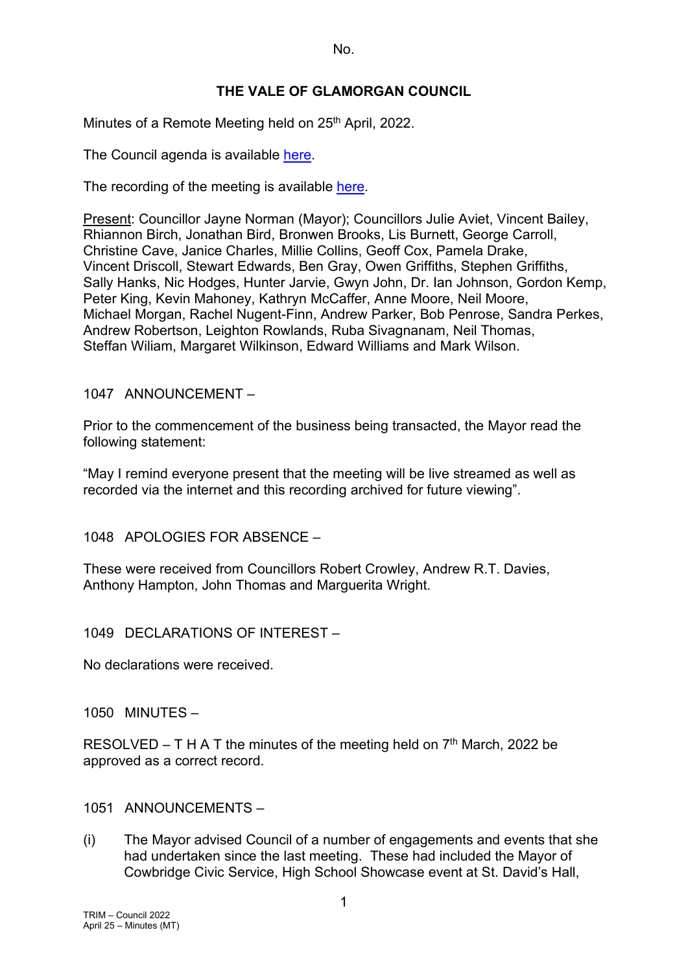## **THE VALE OF GLAMORGAN COUNCIL**

Minutes of a Remote Meeting held on 25<sup>th</sup> April, 2022.

The Council agenda is available [here.](https://www.valeofglamorgan.gov.uk/en/our_council/Council-Structure/minutes,_agendas_and_reports/agendas/council/2022/22-04-25.aspx)

The recording of the meeting is available [here.](https://www.youtube.com/watch?v=-DT0vOkGNgw&list=PLzt4i14pgqIFIu5GcsMs1g6b5IUR90m5d&index=1)

Present: Councillor Jayne Norman (Mayor); Councillors Julie Aviet, Vincent Bailey, Rhiannon Birch, Jonathan Bird, Bronwen Brooks, Lis Burnett, George Carroll, Christine Cave, Janice Charles, Millie Collins, Geoff Cox, Pamela Drake, Vincent Driscoll, Stewart Edwards, Ben Gray, Owen Griffiths, Stephen Griffiths, Sally Hanks, Nic Hodges, Hunter Jarvie, Gwyn John, Dr. Ian Johnson, Gordon Kemp, Peter King, Kevin Mahoney, Kathryn McCaffer, Anne Moore, Neil Moore, Michael Morgan, Rachel Nugent-Finn, Andrew Parker, Bob Penrose, Sandra Perkes, Andrew Robertson, Leighton Rowlands, Ruba Sivagnanam, Neil Thomas, Steffan Wiliam, Margaret Wilkinson, Edward Williams and Mark Wilson.

1047 ANNOUNCEMENT –

Prior to the commencement of the business being transacted, the Mayor read the following statement:

"May I remind everyone present that the meeting will be live streamed as well as recorded via the internet and this recording archived for future viewing".

1048 APOLOGIES FOR ABSENCE –

These were received from Councillors Robert Crowley, Andrew R.T. Davies, Anthony Hampton, John Thomas and Marguerita Wright.

1049 DECLARATIONS OF INTEREST –

No declarations were received.

1050 MINUTES –

RESOLVED – T H A T the minutes of the meeting held on  $7<sup>th</sup>$  March, 2022 be approved as a correct record.

1051 ANNOUNCEMENTS –

(i) The Mayor advised Council of a number of engagements and events that she had undertaken since the last meeting. These had included the Mayor of Cowbridge Civic Service, High School Showcase event at St. David's Hall,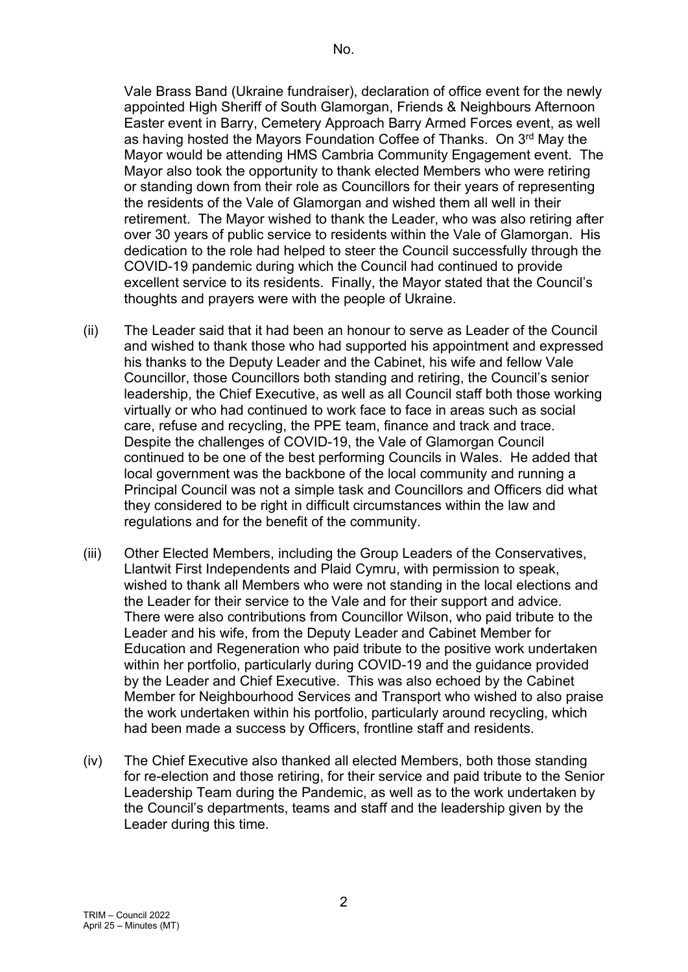Vale Brass Band (Ukraine fundraiser), declaration of office event for the newly appointed High Sheriff of South Glamorgan, Friends & Neighbours Afternoon Easter event in Barry, Cemetery Approach Barry Armed Forces event, as well as having hosted the Mayors Foundation Coffee of Thanks. On 3<sup>rd</sup> May the Mayor would be attending HMS Cambria Community Engagement event. The Mayor also took the opportunity to thank elected Members who were retiring or standing down from their role as Councillors for their years of representing the residents of the Vale of Glamorgan and wished them all well in their retirement. The Mayor wished to thank the Leader, who was also retiring after over 30 years of public service to residents within the Vale of Glamorgan. His dedication to the role had helped to steer the Council successfully through the COVID-19 pandemic during which the Council had continued to provide excellent service to its residents. Finally, the Mayor stated that the Council's thoughts and prayers were with the people of Ukraine.

- (ii) The Leader said that it had been an honour to serve as Leader of the Council and wished to thank those who had supported his appointment and expressed his thanks to the Deputy Leader and the Cabinet, his wife and fellow Vale Councillor, those Councillors both standing and retiring, the Council's senior leadership, the Chief Executive, as well as all Council staff both those working virtually or who had continued to work face to face in areas such as social care, refuse and recycling, the PPE team, finance and track and trace. Despite the challenges of COVID-19, the Vale of Glamorgan Council continued to be one of the best performing Councils in Wales. He added that local government was the backbone of the local community and running a Principal Council was not a simple task and Councillors and Officers did what they considered to be right in difficult circumstances within the law and regulations and for the benefit of the community.
- (iii) Other Elected Members, including the Group Leaders of the Conservatives, Llantwit First Independents and Plaid Cymru, with permission to speak, wished to thank all Members who were not standing in the local elections and the Leader for their service to the Vale and for their support and advice. There were also contributions from Councillor Wilson, who paid tribute to the Leader and his wife, from the Deputy Leader and Cabinet Member for Education and Regeneration who paid tribute to the positive work undertaken within her portfolio, particularly during COVID-19 and the guidance provided by the Leader and Chief Executive. This was also echoed by the Cabinet Member for Neighbourhood Services and Transport who wished to also praise the work undertaken within his portfolio, particularly around recycling, which had been made a success by Officers, frontline staff and residents.
- (iv) The Chief Executive also thanked all elected Members, both those standing for re-election and those retiring, for their service and paid tribute to the Senior Leadership Team during the Pandemic, as well as to the work undertaken by the Council's departments, teams and staff and the leadership given by the Leader during this time.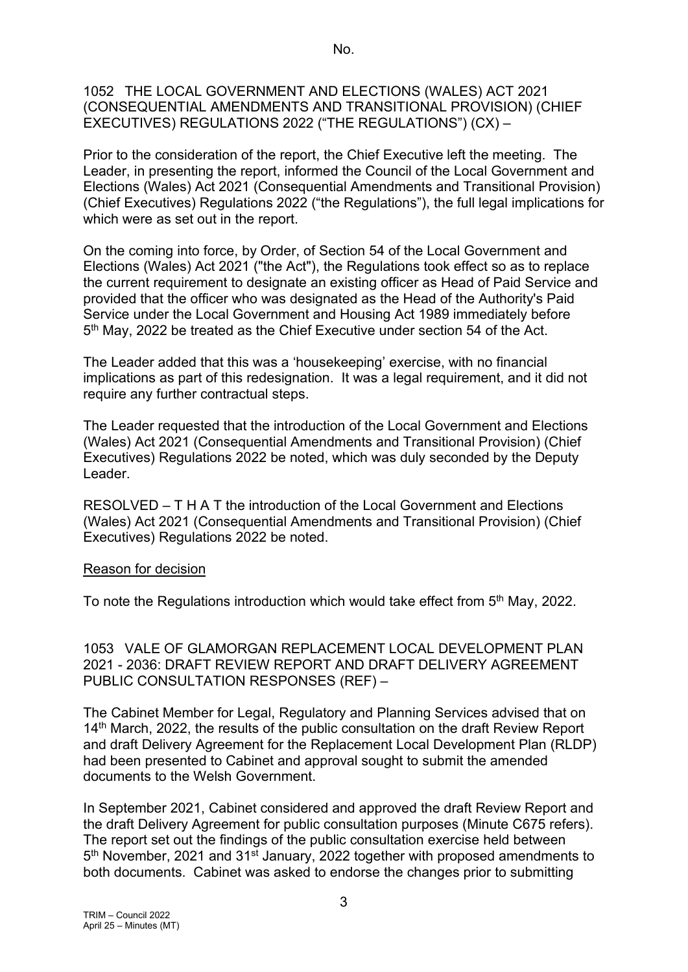#### 1052 THE LOCAL GOVERNMENT AND ELECTIONS (WALES) ACT 2021 (CONSEQUENTIAL AMENDMENTS AND TRANSITIONAL PROVISION) (CHIEF EXECUTIVES) REGULATIONS 2022 ("THE REGULATIONS") (CX) –

Prior to the consideration of the report, the Chief Executive left the meeting. The Leader, in presenting the report, informed the Council of the Local Government and Elections (Wales) Act 2021 (Consequential Amendments and Transitional Provision) (Chief Executives) Regulations 2022 ("the Regulations"), the full legal implications for which were as set out in the report.

On the coming into force, by Order, of Section 54 of the Local Government and Elections (Wales) Act 2021 ("the Act"), the Regulations took effect so as to replace the current requirement to designate an existing officer as Head of Paid Service and provided that the officer who was designated as the Head of the Authority's Paid Service under the Local Government and Housing Act 1989 immediately before 5th May, 2022 be treated as the Chief Executive under section 54 of the Act.

The Leader added that this was a 'housekeeping' exercise, with no financial implications as part of this redesignation. It was a legal requirement, and it did not require any further contractual steps.

The Leader requested that the introduction of the Local Government and Elections (Wales) Act 2021 (Consequential Amendments and Transitional Provision) (Chief Executives) Regulations 2022 be noted, which was duly seconded by the Deputy Leader.

RESOLVED – T H A T the introduction of the Local Government and Elections (Wales) Act 2021 (Consequential Amendments and Transitional Provision) (Chief Executives) Regulations 2022 be noted.

#### Reason for decision

To note the Regulations introduction which would take effect from 5<sup>th</sup> May, 2022.

1053 VALE OF GLAMORGAN REPLACEMENT LOCAL DEVELOPMENT PLAN 2021 - 2036: DRAFT REVIEW REPORT AND DRAFT DELIVERY AGREEMENT PUBLIC CONSULTATION RESPONSES (REF) –

The Cabinet Member for Legal, Regulatory and Planning Services advised that on 14<sup>th</sup> March, 2022, the results of the public consultation on the draft Review Report and draft Delivery Agreement for the Replacement Local Development Plan (RLDP) had been presented to Cabinet and approval sought to submit the amended documents to the Welsh Government.

In September 2021, Cabinet considered and approved the draft Review Report and the draft Delivery Agreement for public consultation purposes (Minute C675 refers). The report set out the findings of the public consultation exercise held between 5<sup>th</sup> November, 2021 and 31<sup>st</sup> January, 2022 together with proposed amendments to both documents. Cabinet was asked to endorse the changes prior to submitting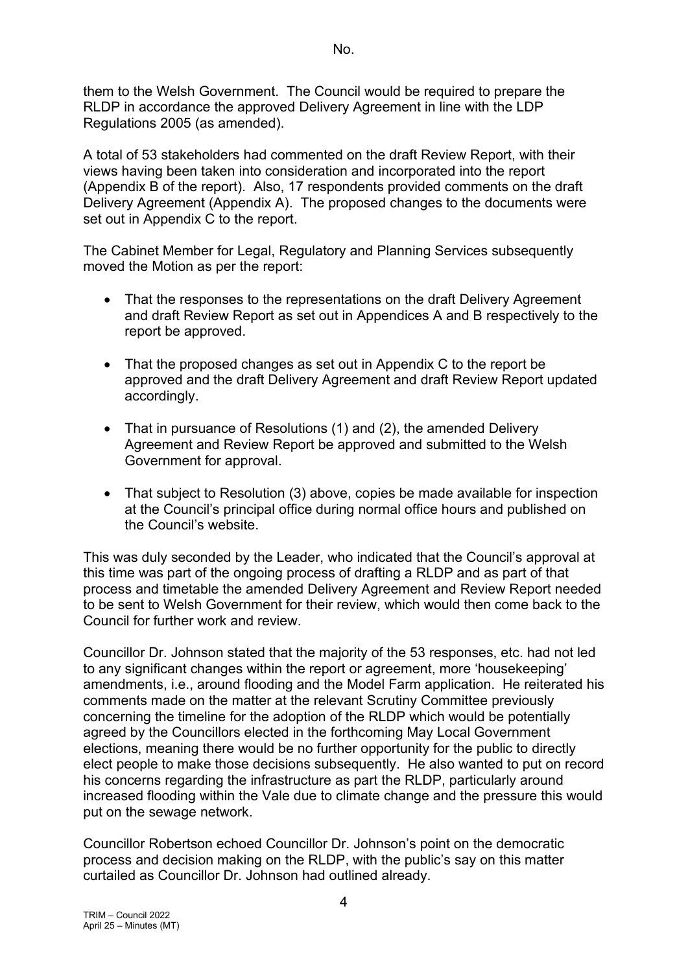them to the Welsh Government. The Council would be required to prepare the RLDP in accordance the approved Delivery Agreement in line with the LDP Regulations 2005 (as amended).

A total of 53 stakeholders had commented on the draft Review Report, with their views having been taken into consideration and incorporated into the report (Appendix B of the report). Also, 17 respondents provided comments on the draft Delivery Agreement (Appendix A). The proposed changes to the documents were set out in Appendix C to the report.

The Cabinet Member for Legal, Regulatory and Planning Services subsequently moved the Motion as per the report:

- That the responses to the representations on the draft Delivery Agreement and draft Review Report as set out in Appendices A and B respectively to the report be approved.
- That the proposed changes as set out in Appendix C to the report be approved and the draft Delivery Agreement and draft Review Report updated accordingly.
- That in pursuance of Resolutions (1) and (2), the amended Delivery Agreement and Review Report be approved and submitted to the Welsh Government for approval.
- That subject to Resolution (3) above, copies be made available for inspection at the Council's principal office during normal office hours and published on the Council's website.

This was duly seconded by the Leader, who indicated that the Council's approval at this time was part of the ongoing process of drafting a RLDP and as part of that process and timetable the amended Delivery Agreement and Review Report needed to be sent to Welsh Government for their review, which would then come back to the Council for further work and review.

Councillor Dr. Johnson stated that the majority of the 53 responses, etc. had not led to any significant changes within the report or agreement, more 'housekeeping' amendments, i.e., around flooding and the Model Farm application. He reiterated his comments made on the matter at the relevant Scrutiny Committee previously concerning the timeline for the adoption of the RLDP which would be potentially agreed by the Councillors elected in the forthcoming May Local Government elections, meaning there would be no further opportunity for the public to directly elect people to make those decisions subsequently. He also wanted to put on record his concerns regarding the infrastructure as part the RLDP, particularly around increased flooding within the Vale due to climate change and the pressure this would put on the sewage network.

Councillor Robertson echoed Councillor Dr. Johnson's point on the democratic process and decision making on the RLDP, with the public's say on this matter curtailed as Councillor Dr. Johnson had outlined already.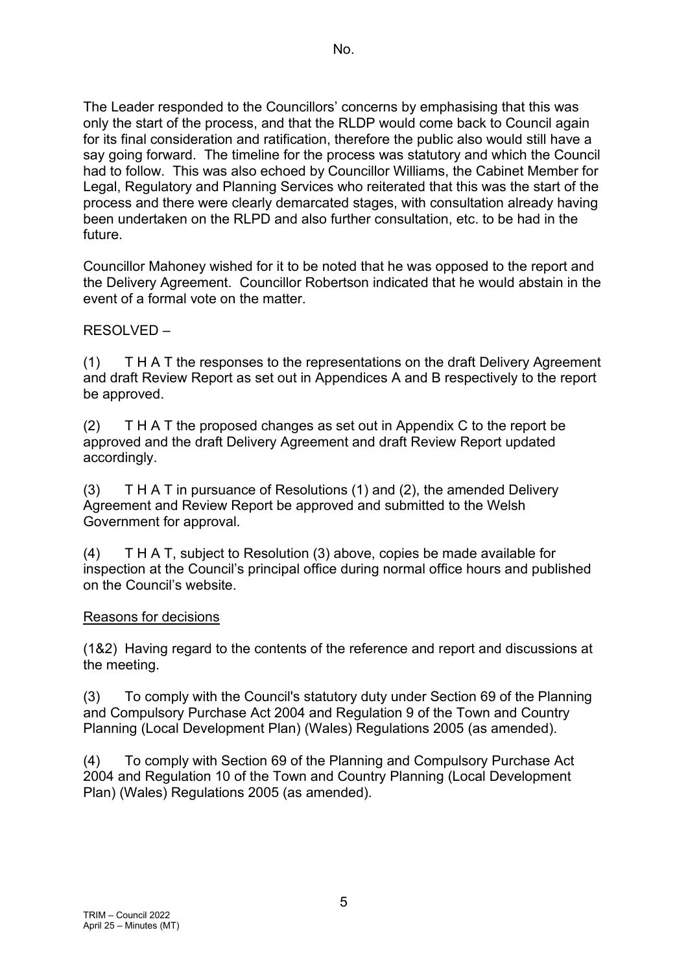The Leader responded to the Councillors' concerns by emphasising that this was only the start of the process, and that the RLDP would come back to Council again for its final consideration and ratification, therefore the public also would still have a say going forward. The timeline for the process was statutory and which the Council had to follow. This was also echoed by Councillor Williams, the Cabinet Member for Legal, Regulatory and Planning Services who reiterated that this was the start of the process and there were clearly demarcated stages, with consultation already having been undertaken on the RLPD and also further consultation, etc. to be had in the future.

Councillor Mahoney wished for it to be noted that he was opposed to the report and the Delivery Agreement. Councillor Robertson indicated that he would abstain in the event of a formal vote on the matter.

RESOLVED –

(1) T H A T the responses to the representations on the draft Delivery Agreement and draft Review Report as set out in Appendices A and B respectively to the report be approved.

(2) T H A T the proposed changes as set out in Appendix C to the report be approved and the draft Delivery Agreement and draft Review Report updated accordingly.

(3) T H A T in pursuance of Resolutions (1) and (2), the amended Delivery Agreement and Review Report be approved and submitted to the Welsh Government for approval.

(4) T H A T, subject to Resolution (3) above, copies be made available for inspection at the Council's principal office during normal office hours and published on the Council's website.

## Reasons for decisions

(1&2) Having regard to the contents of the reference and report and discussions at the meeting.

(3) To comply with the Council's statutory duty under Section 69 of the Planning and Compulsory Purchase Act 2004 and Regulation 9 of the Town and Country Planning (Local Development Plan) (Wales) Regulations 2005 (as amended).

(4) To comply with Section 69 of the Planning and Compulsory Purchase Act 2004 and Regulation 10 of the Town and Country Planning (Local Development Plan) (Wales) Regulations 2005 (as amended).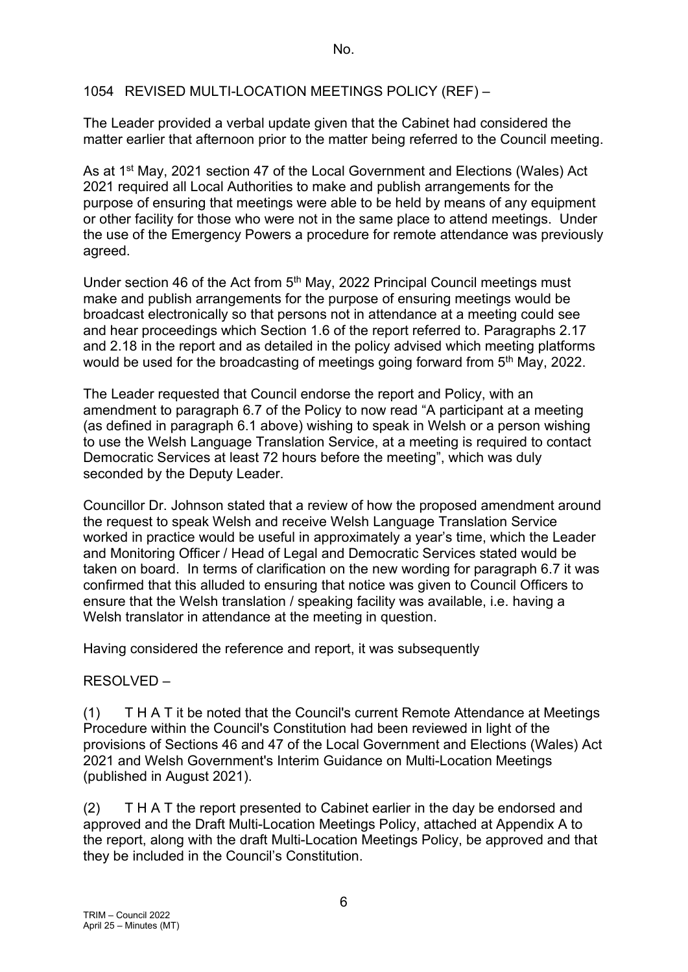#### 1054 REVISED MULTI-LOCATION MEETINGS POLICY (REF) –

The Leader provided a verbal update given that the Cabinet had considered the matter earlier that afternoon prior to the matter being referred to the Council meeting.

As at 1<sup>st</sup> May, 2021 section 47 of the Local Government and Elections (Wales) Act 2021 required all Local Authorities to make and publish arrangements for the purpose of ensuring that meetings were able to be held by means of any equipment or other facility for those who were not in the same place to attend meetings. Under the use of the Emergency Powers a procedure for remote attendance was previously agreed.

Under section 46 of the Act from 5<sup>th</sup> May, 2022 Principal Council meetings must make and publish arrangements for the purpose of ensuring meetings would be broadcast electronically so that persons not in attendance at a meeting could see and hear proceedings which Section 1.6 of the report referred to. Paragraphs 2.17 and 2.18 in the report and as detailed in the policy advised which meeting platforms would be used for the broadcasting of meetings going forward from 5<sup>th</sup> May, 2022.

The Leader requested that Council endorse the report and Policy, with an amendment to paragraph 6.7 of the Policy to now read "A participant at a meeting (as defined in paragraph 6.1 above) wishing to speak in Welsh or a person wishing to use the Welsh Language Translation Service, at a meeting is required to contact Democratic Services at least 72 hours before the meeting", which was duly seconded by the Deputy Leader.

Councillor Dr. Johnson stated that a review of how the proposed amendment around the request to speak Welsh and receive Welsh Language Translation Service worked in practice would be useful in approximately a year's time, which the Leader and Monitoring Officer / Head of Legal and Democratic Services stated would be taken on board. In terms of clarification on the new wording for paragraph 6.7 it was confirmed that this alluded to ensuring that notice was given to Council Officers to ensure that the Welsh translation / speaking facility was available, i.e. having a Welsh translator in attendance at the meeting in question.

Having considered the reference and report, it was subsequently

## RESOLVED –

(1) T H A T it be noted that the Council's current Remote Attendance at Meetings Procedure within the Council's Constitution had been reviewed in light of the provisions of Sections 46 and 47 of the Local Government and Elections (Wales) Act 2021 and Welsh Government's Interim Guidance on Multi-Location Meetings (published in August 2021).

(2) T H A T the report presented to Cabinet earlier in the day be endorsed and approved and the Draft Multi-Location Meetings Policy, attached at Appendix A to the report, along with the draft Multi-Location Meetings Policy, be approved and that they be included in the Council's Constitution.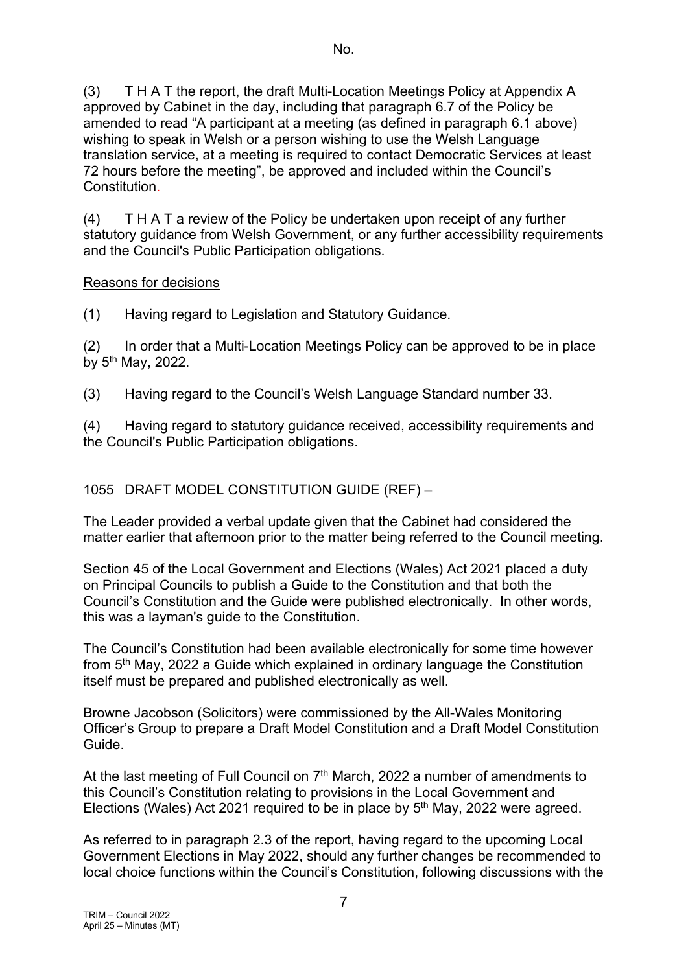(3) T H A T the report, the draft Multi-Location Meetings Policy at Appendix A approved by Cabinet in the day, including that paragraph 6.7 of the Policy be amended to read "A participant at a meeting (as defined in paragraph 6.1 above) wishing to speak in Welsh or a person wishing to use the Welsh Language translation service, at a meeting is required to contact Democratic Services at least 72 hours before the meeting", be approved and included within the Council's Constitution.

(4) T H A T a review of the Policy be undertaken upon receipt of any further statutory guidance from Welsh Government, or any further accessibility requirements and the Council's Public Participation obligations.

#### Reasons for decisions

(1) Having regard to Legislation and Statutory Guidance.

(2) In order that a Multi-Location Meetings Policy can be approved to be in place by 5th May, 2022.

(3) Having regard to the Council's Welsh Language Standard number 33.

(4) Having regard to statutory guidance received, accessibility requirements and the Council's Public Participation obligations.

## 1055 DRAFT MODEL CONSTITUTION GUIDE (REF) –

The Leader provided a verbal update given that the Cabinet had considered the matter earlier that afternoon prior to the matter being referred to the Council meeting.

Section 45 of the Local Government and Elections (Wales) Act 2021 placed a duty on Principal Councils to publish a Guide to the Constitution and that both the Council's Constitution and the Guide were published electronically. In other words, this was a layman's guide to the Constitution.

The Council's Constitution had been available electronically for some time however from 5th May, 2022 a Guide which explained in ordinary language the Constitution itself must be prepared and published electronically as well.

Browne Jacobson (Solicitors) were commissioned by the All-Wales Monitoring Officer's Group to prepare a Draft Model Constitution and a Draft Model Constitution Guide.

At the last meeting of Full Council on  $7<sup>th</sup>$  March, 2022 a number of amendments to this Council's Constitution relating to provisions in the Local Government and Elections (Wales) Act 2021 required to be in place by  $5<sup>th</sup>$  May, 2022 were agreed.

As referred to in paragraph 2.3 of the report, having regard to the upcoming Local Government Elections in May 2022, should any further changes be recommended to local choice functions within the Council's Constitution, following discussions with the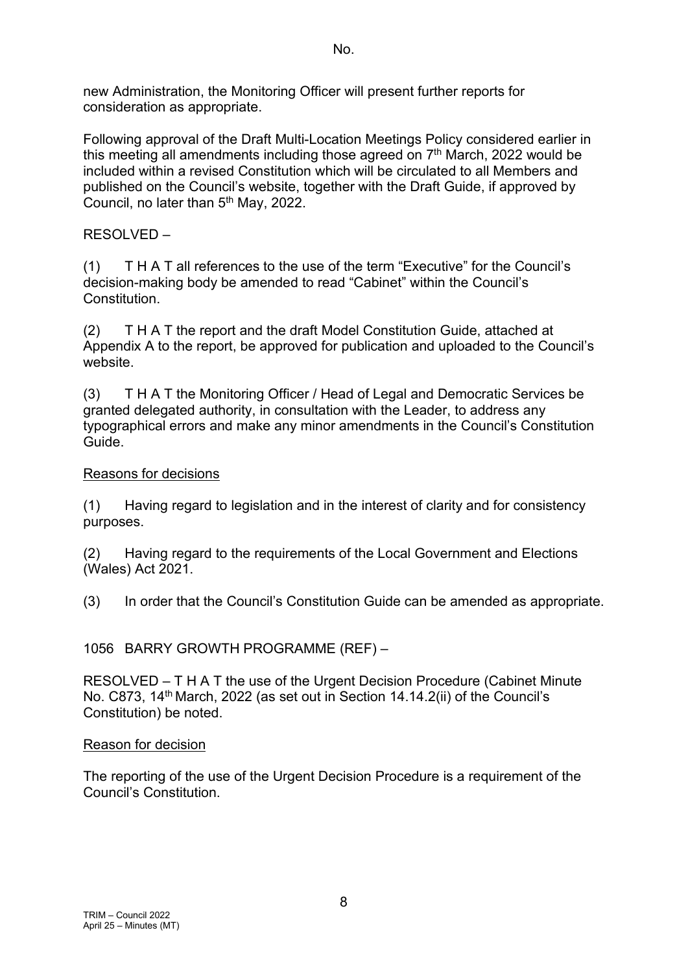new Administration, the Monitoring Officer will present further reports for consideration as appropriate.

Following approval of the Draft Multi-Location Meetings Policy considered earlier in this meeting all amendments including those agreed on  $7<sup>th</sup>$  March, 2022 would be included within a revised Constitution which will be circulated to all Members and published on the Council's website, together with the Draft Guide, if approved by Council, no later than  $5<sup>th</sup>$  May, 2022.

# RESOLVED –

(1) T H A T all references to the use of the term "Executive" for the Council's decision-making body be amended to read "Cabinet" within the Council's Constitution.

(2) T H A T the report and the draft Model Constitution Guide, attached at Appendix A to the report, be approved for publication and uploaded to the Council's website.

(3) T H A T the Monitoring Officer / Head of Legal and Democratic Services be granted delegated authority, in consultation with the Leader, to address any typographical errors and make any minor amendments in the Council's Constitution Guide.

# Reasons for decisions

(1) Having regard to legislation and in the interest of clarity and for consistency purposes.

(2) Having regard to the requirements of the Local Government and Elections (Wales) Act 2021.

(3) In order that the Council's Constitution Guide can be amended as appropriate.

1056 BARRY GROWTH PROGRAMME (REF) –

RESOLVED – T H A T the use of the Urgent Decision Procedure (Cabinet Minute No. C873, 14<sup>th</sup> March, 2022 (as set out in Section 14.14.2(ii) of the Council's Constitution) be noted.

## Reason for decision

The reporting of the use of the Urgent Decision Procedure is a requirement of the Council's Constitution.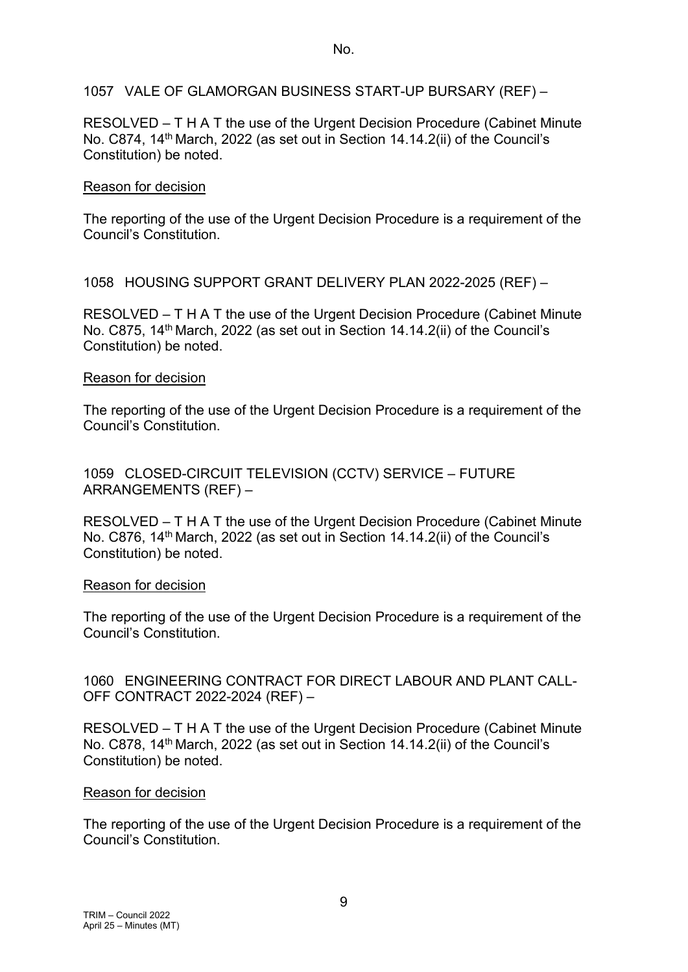1057 VALE OF GLAMORGAN BUSINESS START-UP BURSARY (REF) –

RESOLVED – T H A T the use of the Urgent Decision Procedure (Cabinet Minute No. C874, 14<sup>th</sup> March, 2022 (as set out in Section 14.14.2(ii) of the Council's Constitution) be noted.

#### Reason for decision

The reporting of the use of the Urgent Decision Procedure is a requirement of the Council's Constitution.

1058 HOUSING SUPPORT GRANT DELIVERY PLAN 2022-2025 (REF) –

RESOLVED – T H A T the use of the Urgent Decision Procedure (Cabinet Minute No. C875, 14<sup>th</sup> March, 2022 (as set out in Section 14.14.2(ii) of the Council's Constitution) be noted.

#### Reason for decision

The reporting of the use of the Urgent Decision Procedure is a requirement of the Council's Constitution.

1059 CLOSED-CIRCUIT TELEVISION (CCTV) SERVICE – FUTURE ARRANGEMENTS (REF) –

RESOLVED – T H A T the use of the Urgent Decision Procedure (Cabinet Minute No. C876, 14<sup>th</sup> March, 2022 (as set out in Section 14.14.2(ii) of the Council's Constitution) be noted.

#### Reason for decision

The reporting of the use of the Urgent Decision Procedure is a requirement of the Council's Constitution.

#### 1060 ENGINEERING CONTRACT FOR DIRECT LABOUR AND PLANT CALL-OFF CONTRACT 2022-2024 (REF) –

RESOLVED – T H A T the use of the Urgent Decision Procedure (Cabinet Minute No. C878, 14<sup>th</sup> March, 2022 (as set out in Section 14.14.2(ii) of the Council's Constitution) be noted.

## Reason for decision

The reporting of the use of the Urgent Decision Procedure is a requirement of the Council's Constitution.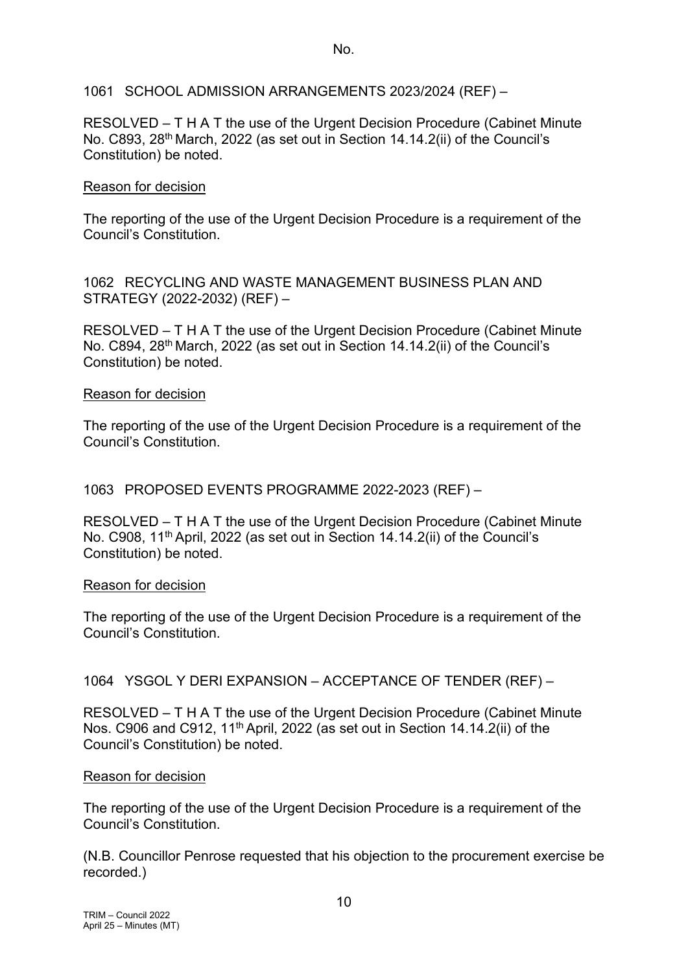1061 SCHOOL ADMISSION ARRANGEMENTS 2023/2024 (REF) –

RESOLVED – T H A T the use of the Urgent Decision Procedure (Cabinet Minute No. C893, 28<sup>th</sup> March, 2022 (as set out in Section 14.14.2(ii) of the Council's Constitution) be noted.

#### Reason for decision

The reporting of the use of the Urgent Decision Procedure is a requirement of the Council's Constitution.

1062 RECYCLING AND WASTE MANAGEMENT BUSINESS PLAN AND STRATEGY (2022-2032) (REF) –

RESOLVED – T H A T the use of the Urgent Decision Procedure (Cabinet Minute No. C894, 28th March, 2022 (as set out in Section 14.14.2(ii) of the Council's Constitution) be noted.

#### Reason for decision

The reporting of the use of the Urgent Decision Procedure is a requirement of the Council's Constitution.

1063 PROPOSED EVENTS PROGRAMME 2022-2023 (REF) –

RESOLVED – T H A T the use of the Urgent Decision Procedure (Cabinet Minute No. C908, 11<sup>th</sup> April, 2022 (as set out in Section 14.14.2(ii) of the Council's Constitution) be noted.

#### Reason for decision

The reporting of the use of the Urgent Decision Procedure is a requirement of the Council's Constitution.

## 1064 YSGOL Y DERI EXPANSION – ACCEPTANCE OF TENDER (REF) –

RESOLVED – T H A T the use of the Urgent Decision Procedure (Cabinet Minute Nos. C906 and C912, 11<sup>th</sup> April, 2022 (as set out in Section 14.14.2(ii) of the Council's Constitution) be noted.

#### Reason for decision

The reporting of the use of the Urgent Decision Procedure is a requirement of the Council's Constitution.

(N.B. Councillor Penrose requested that his objection to the procurement exercise be recorded.)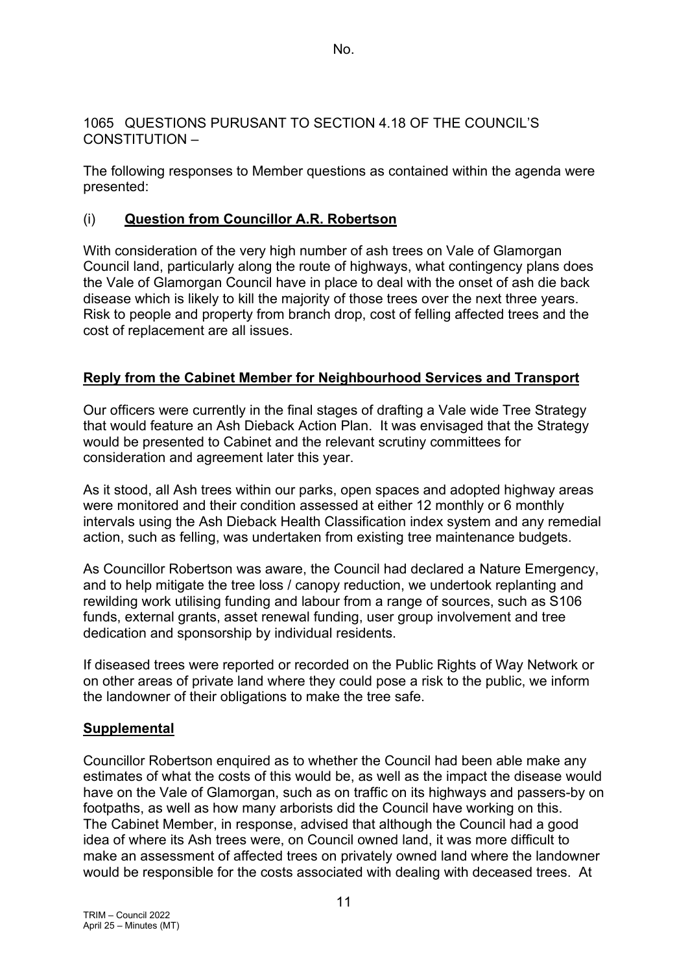#### 1065 QUESTIONS PURUSANT TO SECTION 4.18 OF THE COUNCIL'S CONSTITUTION –

The following responses to Member questions as contained within the agenda were presented:

# (i) **Question from Councillor A.R. Robertson**

With consideration of the very high number of ash trees on Vale of Glamorgan Council land, particularly along the route of highways, what contingency plans does the Vale of Glamorgan Council have in place to deal with the onset of ash die back disease which is likely to kill the majority of those trees over the next three years. Risk to people and property from branch drop, cost of felling affected trees and the cost of replacement are all issues.

# **Reply from the Cabinet Member for Neighbourhood Services and Transport**

Our officers were currently in the final stages of drafting a Vale wide Tree Strategy that would feature an Ash Dieback Action Plan. It was envisaged that the Strategy would be presented to Cabinet and the relevant scrutiny committees for consideration and agreement later this year.

As it stood, all Ash trees within our parks, open spaces and adopted highway areas were monitored and their condition assessed at either 12 monthly or 6 monthly intervals using the Ash Dieback Health Classification index system and any remedial action, such as felling, was undertaken from existing tree maintenance budgets.

As Councillor Robertson was aware, the Council had declared a Nature Emergency, and to help mitigate the tree loss / canopy reduction, we undertook replanting and rewilding work utilising funding and labour from a range of sources, such as S106 funds, external grants, asset renewal funding, user group involvement and tree dedication and sponsorship by individual residents.

If diseased trees were reported or recorded on the Public Rights of Way Network or on other areas of private land where they could pose a risk to the public, we inform the landowner of their obligations to make the tree safe.

# **Supplemental**

Councillor Robertson enquired as to whether the Council had been able make any estimates of what the costs of this would be, as well as the impact the disease would have on the Vale of Glamorgan, such as on traffic on its highways and passers-by on footpaths, as well as how many arborists did the Council have working on this. The Cabinet Member, in response, advised that although the Council had a good idea of where its Ash trees were, on Council owned land, it was more difficult to make an assessment of affected trees on privately owned land where the landowner would be responsible for the costs associated with dealing with deceased trees. At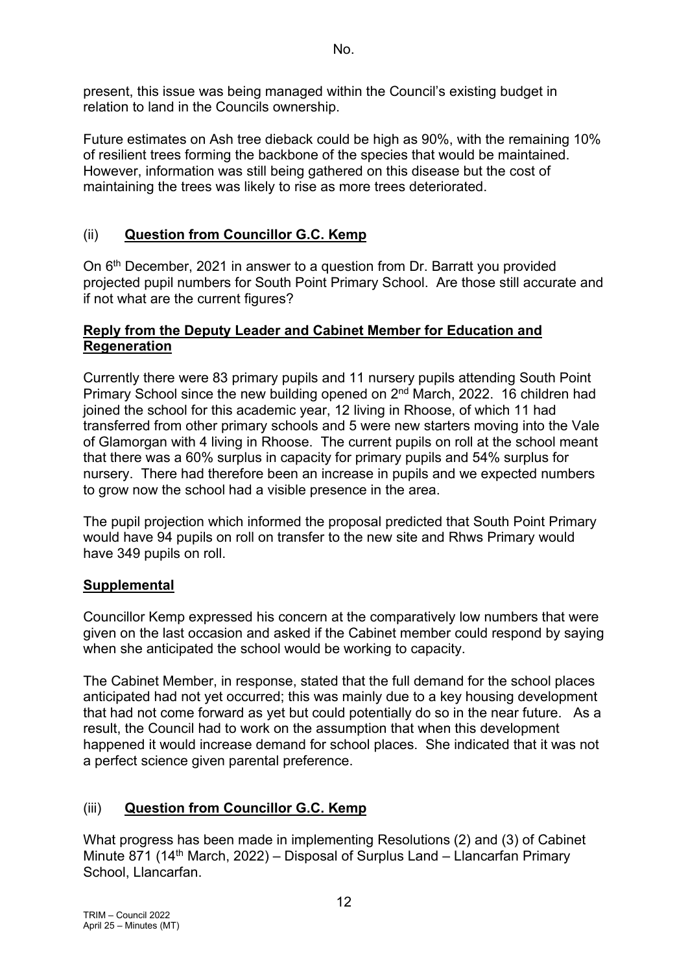present, this issue was being managed within the Council's existing budget in relation to land in the Councils ownership.

Future estimates on Ash tree dieback could be high as 90%, with the remaining 10% of resilient trees forming the backbone of the species that would be maintained. However, information was still being gathered on this disease but the cost of maintaining the trees was likely to rise as more trees deteriorated.

# (ii) **Question from Councillor G.C. Kemp**

On 6th December, 2021 in answer to a question from Dr. Barratt you provided projected pupil numbers for South Point Primary School. Are those still accurate and if not what are the current figures?

#### **Reply from the Deputy Leader and Cabinet Member for Education and Regeneration**

Currently there were 83 primary pupils and 11 nursery pupils attending South Point Primary School since the new building opened on 2<sup>nd</sup> March, 2022. 16 children had joined the school for this academic year, 12 living in Rhoose, of which 11 had transferred from other primary schools and 5 were new starters moving into the Vale of Glamorgan with 4 living in Rhoose. The current pupils on roll at the school meant that there was a 60% surplus in capacity for primary pupils and 54% surplus for nursery. There had therefore been an increase in pupils and we expected numbers to grow now the school had a visible presence in the area.

The pupil projection which informed the proposal predicted that South Point Primary would have 94 pupils on roll on transfer to the new site and Rhws Primary would have 349 pupils on roll.

## **Supplemental**

Councillor Kemp expressed his concern at the comparatively low numbers that were given on the last occasion and asked if the Cabinet member could respond by saying when she anticipated the school would be working to capacity.

The Cabinet Member, in response, stated that the full demand for the school places anticipated had not yet occurred; this was mainly due to a key housing development that had not come forward as yet but could potentially do so in the near future. As a result, the Council had to work on the assumption that when this development happened it would increase demand for school places. She indicated that it was not a perfect science given parental preference.

# (iii) **Question from Councillor G.C. Kemp**

What progress has been made in implementing Resolutions (2) and (3) of Cabinet Minute 871 (14<sup>th</sup> March, 2022) – Disposal of Surplus Land – Llancarfan Primary School, Llancarfan.

12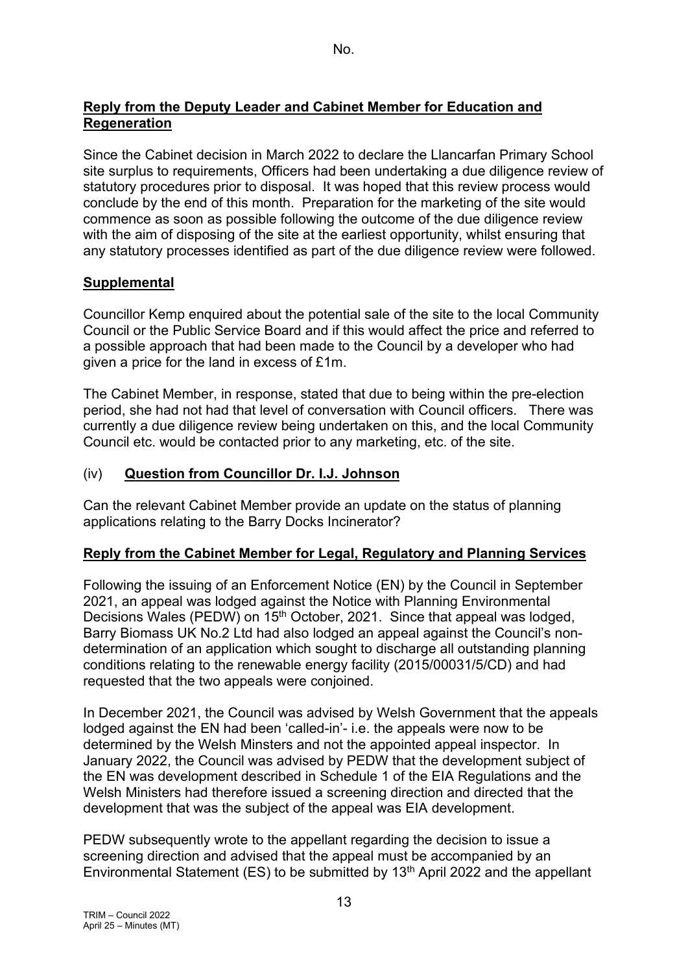## **Reply from the Deputy Leader and Cabinet Member for Education and Regeneration**

Since the Cabinet decision in March 2022 to declare the Llancarfan Primary School site surplus to requirements, Officers had been undertaking a due diligence review of statutory procedures prior to disposal. It was hoped that this review process would conclude by the end of this month. Preparation for the marketing of the site would commence as soon as possible following the outcome of the due diligence review with the aim of disposing of the site at the earliest opportunity, whilst ensuring that any statutory processes identified as part of the due diligence review were followed.

# **Supplemental**

Councillor Kemp enquired about the potential sale of the site to the local Community Council or the Public Service Board and if this would affect the price and referred to a possible approach that had been made to the Council by a developer who had given a price for the land in excess of £1m.

The Cabinet Member, in response, stated that due to being within the pre-election period, she had not had that level of conversation with Council officers. There was currently a due diligence review being undertaken on this, and the local Community Council etc. would be contacted prior to any marketing, etc. of the site.

## (iv) **Question from Councillor Dr. I.J. Johnson**

Can the relevant Cabinet Member provide an update on the status of planning applications relating to the Barry Docks Incinerator?

## **Reply from the Cabinet Member for Legal, Regulatory and Planning Services**

Following the issuing of an Enforcement Notice (EN) by the Council in September 2021, an appeal was lodged against the Notice with Planning Environmental Decisions Wales (PEDW) on 15<sup>th</sup> October, 2021. Since that appeal was lodged, Barry Biomass UK No.2 Ltd had also lodged an appeal against the Council's nondetermination of an application which sought to discharge all outstanding planning conditions relating to the renewable energy facility (2015/00031/5/CD) and had requested that the two appeals were conjoined.

In December 2021, the Council was advised by Welsh Government that the appeals lodged against the EN had been 'called-in'- i.e. the appeals were now to be determined by the Welsh Minsters and not the appointed appeal inspector. In January 2022, the Council was advised by PEDW that the development subject of the EN was development described in Schedule 1 of the EIA Regulations and the Welsh Ministers had therefore issued a screening direction and directed that the development that was the subject of the appeal was EIA development.

PEDW subsequently wrote to the appellant regarding the decision to issue a screening direction and advised that the appeal must be accompanied by an Environmental Statement (ES) to be submitted by  $13<sup>th</sup>$  April 2022 and the appellant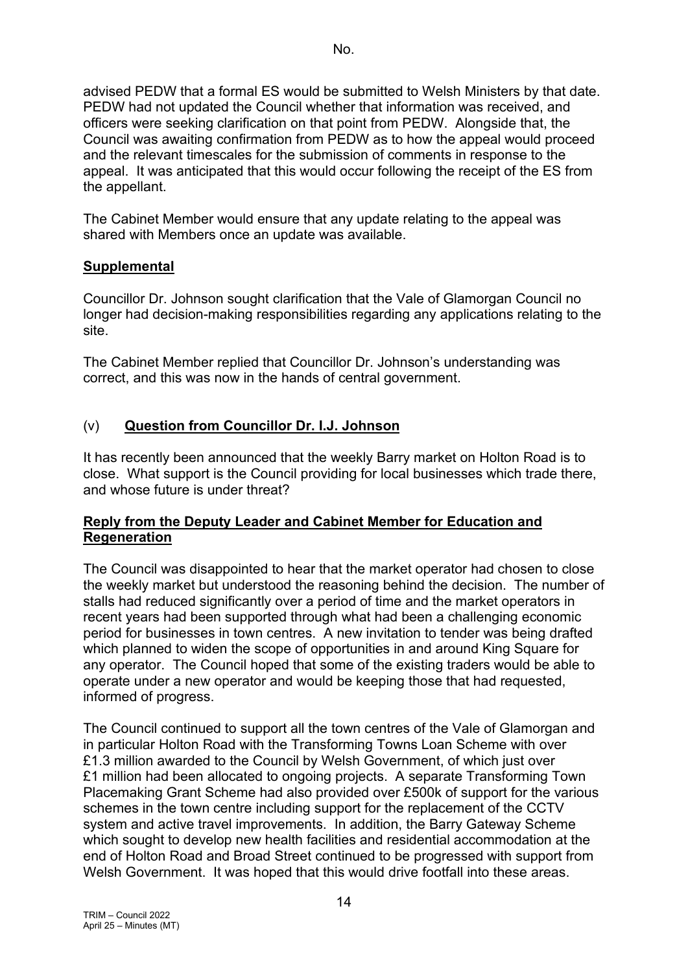advised PEDW that a formal ES would be submitted to Welsh Ministers by that date. PEDW had not updated the Council whether that information was received, and officers were seeking clarification on that point from PEDW. Alongside that, the Council was awaiting confirmation from PEDW as to how the appeal would proceed and the relevant timescales for the submission of comments in response to the appeal. It was anticipated that this would occur following the receipt of the ES from the appellant.

The Cabinet Member would ensure that any update relating to the appeal was shared with Members once an update was available.

## **Supplemental**

Councillor Dr. Johnson sought clarification that the Vale of Glamorgan Council no longer had decision-making responsibilities regarding any applications relating to the site.

The Cabinet Member replied that Councillor Dr. Johnson's understanding was correct, and this was now in the hands of central government.

## (v) **Question from Councillor Dr. I.J. Johnson**

It has recently been announced that the weekly Barry market on Holton Road is to close. What support is the Council providing for local businesses which trade there, and whose future is under threat?

## **Reply from the Deputy Leader and Cabinet Member for Education and Regeneration**

The Council was disappointed to hear that the market operator had chosen to close the weekly market but understood the reasoning behind the decision. The number of stalls had reduced significantly over a period of time and the market operators in recent years had been supported through what had been a challenging economic period for businesses in town centres. A new invitation to tender was being drafted which planned to widen the scope of opportunities in and around King Square for any operator. The Council hoped that some of the existing traders would be able to operate under a new operator and would be keeping those that had requested, informed of progress.

The Council continued to support all the town centres of the Vale of Glamorgan and in particular Holton Road with the Transforming Towns Loan Scheme with over £1.3 million awarded to the Council by Welsh Government, of which just over £1 million had been allocated to ongoing projects. A separate Transforming Town Placemaking Grant Scheme had also provided over £500k of support for the various schemes in the town centre including support for the replacement of the CCTV system and active travel improvements. In addition, the Barry Gateway Scheme which sought to develop new health facilities and residential accommodation at the end of Holton Road and Broad Street continued to be progressed with support from Welsh Government. It was hoped that this would drive footfall into these areas.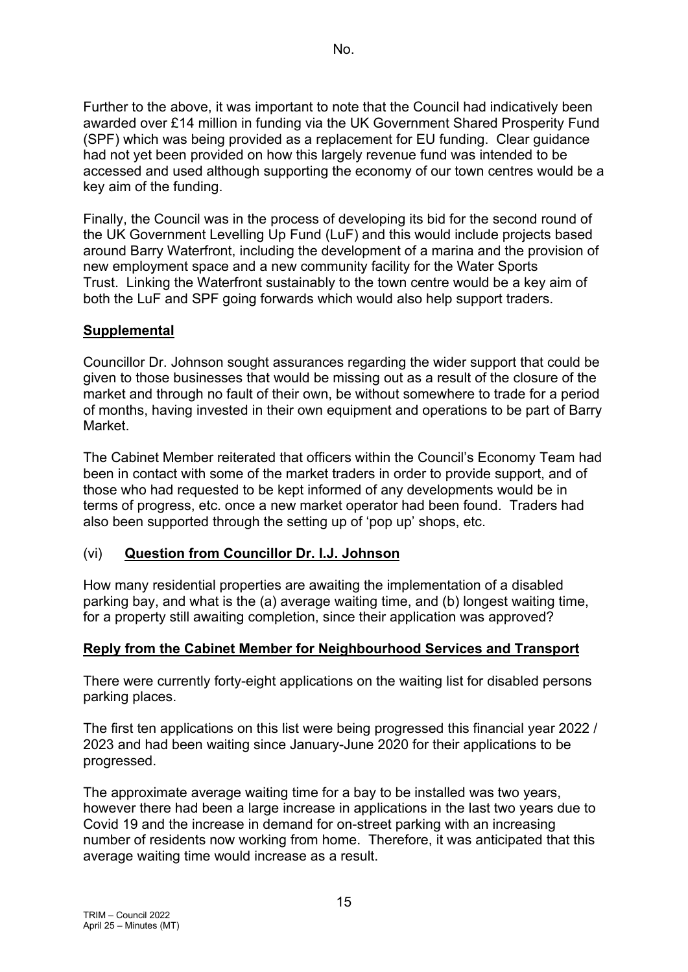Further to the above, it was important to note that the Council had indicatively been awarded over £14 million in funding via the UK Government Shared Prosperity Fund (SPF) which was being provided as a replacement for EU funding. Clear guidance had not yet been provided on how this largely revenue fund was intended to be accessed and used although supporting the economy of our town centres would be a key aim of the funding.

Finally, the Council was in the process of developing its bid for the second round of the UK Government Levelling Up Fund (LuF) and this would include projects based around Barry Waterfront, including the development of a marina and the provision of new employment space and a new community facility for the Water Sports Trust. Linking the Waterfront sustainably to the town centre would be a key aim of both the LuF and SPF going forwards which would also help support traders.

# **Supplemental**

Councillor Dr. Johnson sought assurances regarding the wider support that could be given to those businesses that would be missing out as a result of the closure of the market and through no fault of their own, be without somewhere to trade for a period of months, having invested in their own equipment and operations to be part of Barry Market.

The Cabinet Member reiterated that officers within the Council's Economy Team had been in contact with some of the market traders in order to provide support, and of those who had requested to be kept informed of any developments would be in terms of progress, etc. once a new market operator had been found. Traders had also been supported through the setting up of 'pop up' shops, etc.

# (vi) **Question from Councillor Dr. I.J. Johnson**

How many residential properties are awaiting the implementation of a disabled parking bay, and what is the (a) average waiting time, and (b) longest waiting time, for a property still awaiting completion, since their application was approved?

## **Reply from the Cabinet Member for Neighbourhood Services and Transport**

There were currently forty-eight applications on the waiting list for disabled persons parking places.

The first ten applications on this list were being progressed this financial year 2022 / 2023 and had been waiting since January-June 2020 for their applications to be progressed.

The approximate average waiting time for a bay to be installed was two years, however there had been a large increase in applications in the last two years due to Covid 19 and the increase in demand for on-street parking with an increasing number of residents now working from home. Therefore, it was anticipated that this average waiting time would increase as a result.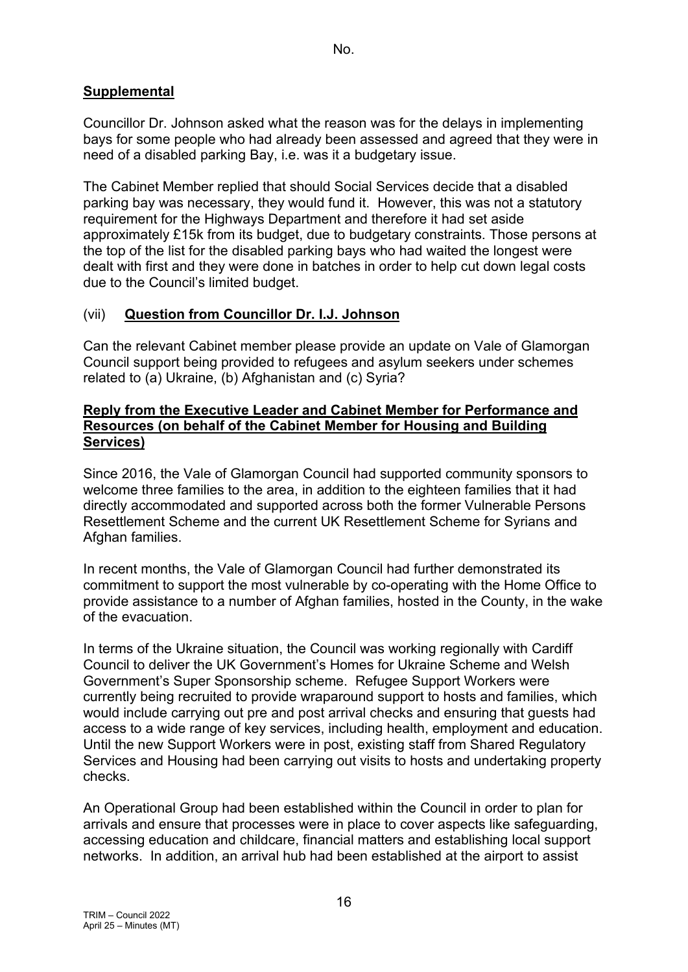# **Supplemental**

Councillor Dr. Johnson asked what the reason was for the delays in implementing bays for some people who had already been assessed and agreed that they were in need of a disabled parking Bay, i.e. was it a budgetary issue.

The Cabinet Member replied that should Social Services decide that a disabled parking bay was necessary, they would fund it. However, this was not a statutory requirement for the Highways Department and therefore it had set aside approximately £15k from its budget, due to budgetary constraints. Those persons at the top of the list for the disabled parking bays who had waited the longest were dealt with first and they were done in batches in order to help cut down legal costs due to the Council's limited budget.

## (vii) **Question from Councillor Dr. I.J. Johnson**

Can the relevant Cabinet member please provide an update on Vale of Glamorgan Council support being provided to refugees and asylum seekers under schemes related to (a) Ukraine, (b) Afghanistan and (c) Syria?

#### **Reply from the Executive Leader and Cabinet Member for Performance and Resources (on behalf of the Cabinet Member for Housing and Building Services)**

Since 2016, the Vale of Glamorgan Council had supported community sponsors to welcome three families to the area, in addition to the eighteen families that it had directly accommodated and supported across both the former Vulnerable Persons Resettlement Scheme and the current UK Resettlement Scheme for Syrians and Afghan families.

In recent months, the Vale of Glamorgan Council had further demonstrated its commitment to support the most vulnerable by co-operating with the Home Office to provide assistance to a number of Afghan families, hosted in the County, in the wake of the evacuation.

In terms of the Ukraine situation, the Council was working regionally with Cardiff Council to deliver the UK Government's Homes for Ukraine Scheme and Welsh Government's Super Sponsorship scheme. Refugee Support Workers were currently being recruited to provide wraparound support to hosts and families, which would include carrying out pre and post arrival checks and ensuring that guests had access to a wide range of key services, including health, employment and education. Until the new Support Workers were in post, existing staff from Shared Regulatory Services and Housing had been carrying out visits to hosts and undertaking property checks.

An Operational Group had been established within the Council in order to plan for arrivals and ensure that processes were in place to cover aspects like safeguarding, accessing education and childcare, financial matters and establishing local support networks. In addition, an arrival hub had been established at the airport to assist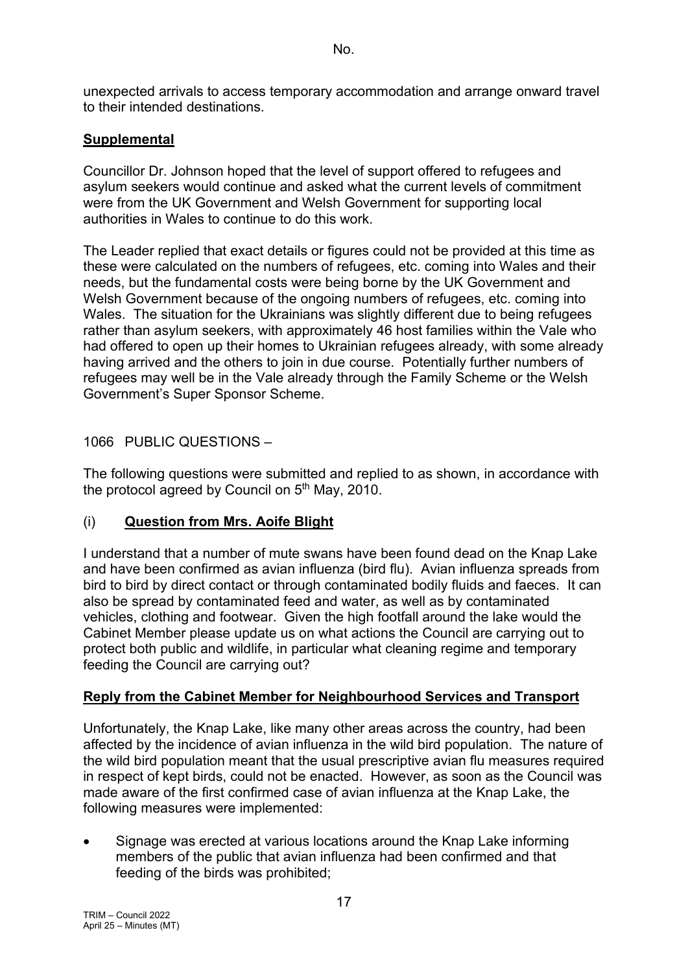unexpected arrivals to access temporary accommodation and arrange onward travel to their intended destinations.

## **Supplemental**

Councillor Dr. Johnson hoped that the level of support offered to refugees and asylum seekers would continue and asked what the current levels of commitment were from the UK Government and Welsh Government for supporting local authorities in Wales to continue to do this work.

The Leader replied that exact details or figures could not be provided at this time as these were calculated on the numbers of refugees, etc. coming into Wales and their needs, but the fundamental costs were being borne by the UK Government and Welsh Government because of the ongoing numbers of refugees, etc. coming into Wales. The situation for the Ukrainians was slightly different due to being refugees rather than asylum seekers, with approximately 46 host families within the Vale who had offered to open up their homes to Ukrainian refugees already, with some already having arrived and the others to join in due course. Potentially further numbers of refugees may well be in the Vale already through the Family Scheme or the Welsh Government's Super Sponsor Scheme.

## 1066 PUBLIC QUESTIONS –

The following questions were submitted and replied to as shown, in accordance with the protocol agreed by Council on  $5<sup>th</sup>$  May, 2010.

## (i) **Question from Mrs. Aoife Blight**

I understand that a number of mute swans have been found dead on the Knap Lake and have been confirmed as avian influenza (bird flu). Avian influenza spreads from bird to bird by direct contact or through contaminated bodily fluids and faeces. It can also be spread by contaminated feed and water, as well as by contaminated vehicles, clothing and footwear. Given the high footfall around the lake would the Cabinet Member please update us on what actions the Council are carrying out to protect both public and wildlife, in particular what cleaning regime and temporary feeding the Council are carrying out?

## **Reply from the Cabinet Member for Neighbourhood Services and Transport**

Unfortunately, the Knap Lake, like many other areas across the country, had been affected by the incidence of avian influenza in the wild bird population. The nature of the wild bird population meant that the usual prescriptive avian flu measures required in respect of kept birds, could not be enacted. However, as soon as the Council was made aware of the first confirmed case of avian influenza at the Knap Lake, the following measures were implemented:

• Signage was erected at various locations around the Knap Lake informing members of the public that avian influenza had been confirmed and that feeding of the birds was prohibited;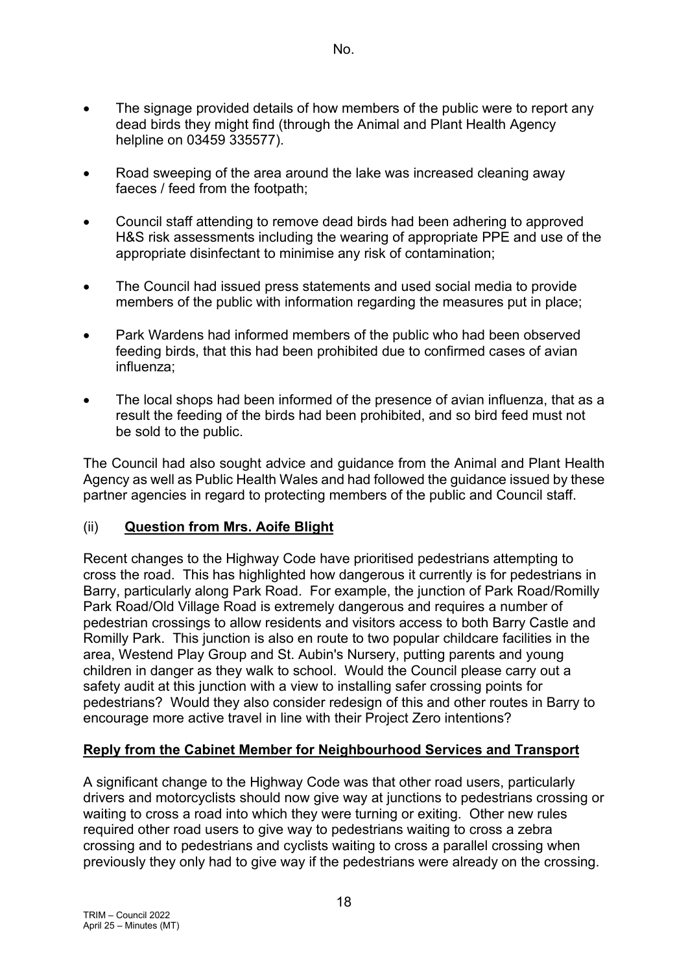- The signage provided details of how members of the public were to report any dead birds they might find (through the Animal and Plant Health Agency helpline on 03459 335577).
- Road sweeping of the area around the lake was increased cleaning away faeces / feed from the footpath;
- Council staff attending to remove dead birds had been adhering to approved H&S risk assessments including the wearing of appropriate PPE and use of the appropriate disinfectant to minimise any risk of contamination;
- The Council had issued press statements and used social media to provide members of the public with information regarding the measures put in place;
- Park Wardens had informed members of the public who had been observed feeding birds, that this had been prohibited due to confirmed cases of avian influenza;
- The local shops had been informed of the presence of avian influenza, that as a result the feeding of the birds had been prohibited, and so bird feed must not be sold to the public.

The Council had also sought advice and guidance from the Animal and Plant Health Agency as well as Public Health Wales and had followed the guidance issued by these partner agencies in regard to protecting members of the public and Council staff.

## (ii) **Question from Mrs. Aoife Blight**

Recent changes to the Highway Code have prioritised pedestrians attempting to cross the road. This has highlighted how dangerous it currently is for pedestrians in Barry, particularly along Park Road. For example, the junction of Park Road/Romilly Park Road/Old Village Road is extremely dangerous and requires a number of pedestrian crossings to allow residents and visitors access to both Barry Castle and Romilly Park. This junction is also en route to two popular childcare facilities in the area, Westend Play Group and St. Aubin's Nursery, putting parents and young children in danger as they walk to school. Would the Council please carry out a safety audit at this junction with a view to installing safer crossing points for pedestrians? Would they also consider redesign of this and other routes in Barry to encourage more active travel in line with their Project Zero intentions?

#### **Reply from the Cabinet Member for Neighbourhood Services and Transport**

A significant change to the Highway Code was that other road users, particularly drivers and motorcyclists should now give way at junctions to pedestrians crossing or waiting to cross a road into which they were turning or exiting. Other new rules required other road users to give way to pedestrians waiting to cross a zebra crossing and to pedestrians and cyclists waiting to cross a parallel crossing when previously they only had to give way if the pedestrians were already on the crossing.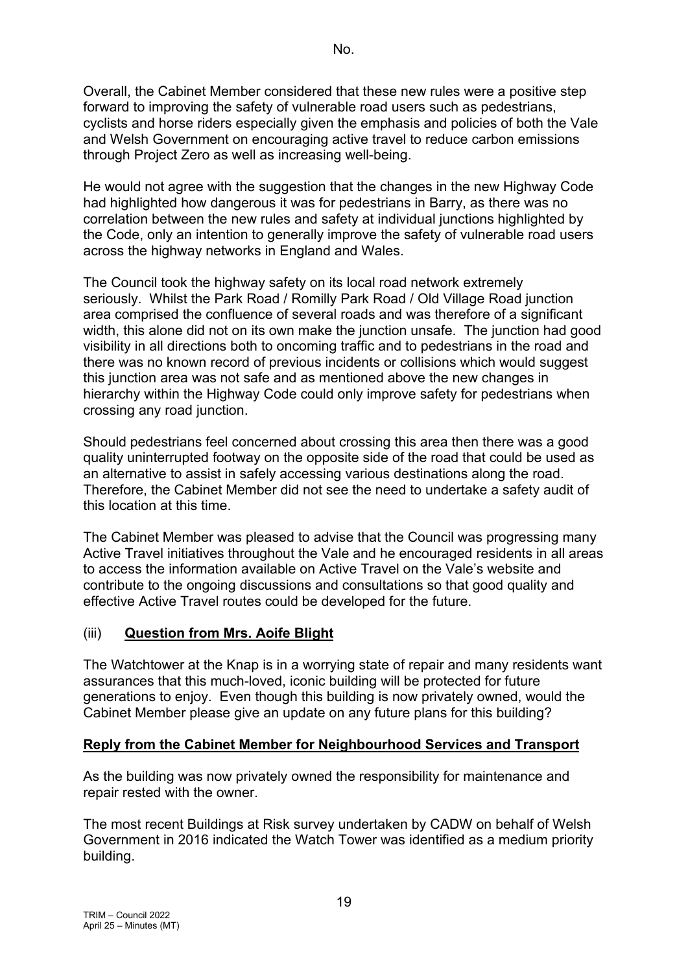Overall, the Cabinet Member considered that these new rules were a positive step forward to improving the safety of vulnerable road users such as pedestrians, cyclists and horse riders especially given the emphasis and policies of both the Vale and Welsh Government on encouraging active travel to reduce carbon emissions through Project Zero as well as increasing well-being.

He would not agree with the suggestion that the changes in the new Highway Code had highlighted how dangerous it was for pedestrians in Barry, as there was no correlation between the new rules and safety at individual junctions highlighted by the Code, only an intention to generally improve the safety of vulnerable road users across the highway networks in England and Wales.

The Council took the highway safety on its local road network extremely seriously. Whilst the Park Road / Romilly Park Road / Old Village Road junction area comprised the confluence of several roads and was therefore of a significant width, this alone did not on its own make the junction unsafe. The junction had good visibility in all directions both to oncoming traffic and to pedestrians in the road and there was no known record of previous incidents or collisions which would suggest this junction area was not safe and as mentioned above the new changes in hierarchy within the Highway Code could only improve safety for pedestrians when crossing any road junction.

Should pedestrians feel concerned about crossing this area then there was a good quality uninterrupted footway on the opposite side of the road that could be used as an alternative to assist in safely accessing various destinations along the road. Therefore, the Cabinet Member did not see the need to undertake a safety audit of this location at this time.

The Cabinet Member was pleased to advise that the Council was progressing many Active Travel initiatives throughout the Vale and he encouraged residents in all areas to access the information available on Active Travel on the Vale's website and contribute to the ongoing discussions and consultations so that good quality and effective Active Travel routes could be developed for the future.

## (iii) **Question from Mrs. Aoife Blight**

The Watchtower at the Knap is in a worrying state of repair and many residents want assurances that this much-loved, iconic building will be protected for future generations to enjoy. Even though this building is now privately owned, would the Cabinet Member please give an update on any future plans for this building?

## **Reply from the Cabinet Member for Neighbourhood Services and Transport**

As the building was now privately owned the responsibility for maintenance and repair rested with the owner.

The most recent Buildings at Risk survey undertaken by CADW on behalf of Welsh Government in 2016 indicated the Watch Tower was identified as a medium priority building.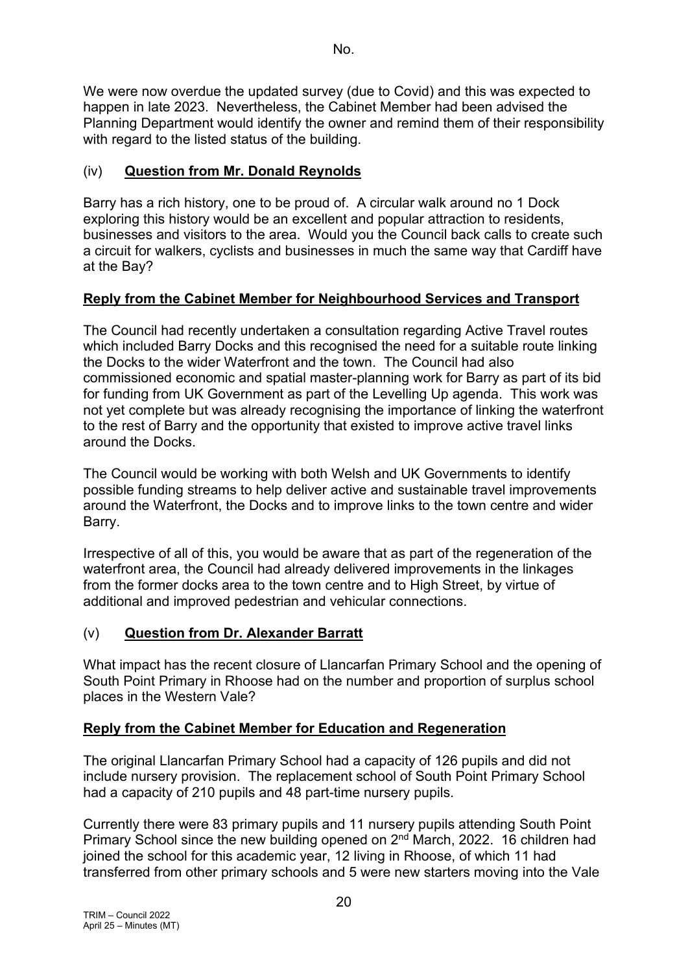We were now overdue the updated survey (due to Covid) and this was expected to happen in late 2023. Nevertheless, the Cabinet Member had been advised the Planning Department would identify the owner and remind them of their responsibility with regard to the listed status of the building.

# (iv) **Question from Mr. Donald Reynolds**

Barry has a rich history, one to be proud of. A circular walk around no 1 Dock exploring this history would be an excellent and popular attraction to residents, businesses and visitors to the area. Would you the Council back calls to create such a circuit for walkers, cyclists and businesses in much the same way that Cardiff have at the Bay?

# **Reply from the Cabinet Member for Neighbourhood Services and Transport**

The Council had recently undertaken a consultation regarding Active Travel routes which included Barry Docks and this recognised the need for a suitable route linking the Docks to the wider Waterfront and the town. The Council had also commissioned economic and spatial master-planning work for Barry as part of its bid for funding from UK Government as part of the Levelling Up agenda. This work was not yet complete but was already recognising the importance of linking the waterfront to the rest of Barry and the opportunity that existed to improve active travel links around the Docks.

The Council would be working with both Welsh and UK Governments to identify possible funding streams to help deliver active and sustainable travel improvements around the Waterfront, the Docks and to improve links to the town centre and wider Barry.

Irrespective of all of this, you would be aware that as part of the regeneration of the waterfront area, the Council had already delivered improvements in the linkages from the former docks area to the town centre and to High Street, by virtue of additional and improved pedestrian and vehicular connections.

# (v) **Question from Dr. Alexander Barratt**

What impact has the recent closure of Llancarfan Primary School and the opening of South Point Primary in Rhoose had on the number and proportion of surplus school places in the Western Vale?

# **Reply from the Cabinet Member for Education and Regeneration**

The original Llancarfan Primary School had a capacity of 126 pupils and did not include nursery provision. The replacement school of South Point Primary School had a capacity of 210 pupils and 48 part-time nursery pupils.

Currently there were 83 primary pupils and 11 nursery pupils attending South Point Primary School since the new building opened on 2<sup>nd</sup> March, 2022. 16 children had joined the school for this academic year, 12 living in Rhoose, of which 11 had transferred from other primary schools and 5 were new starters moving into the Vale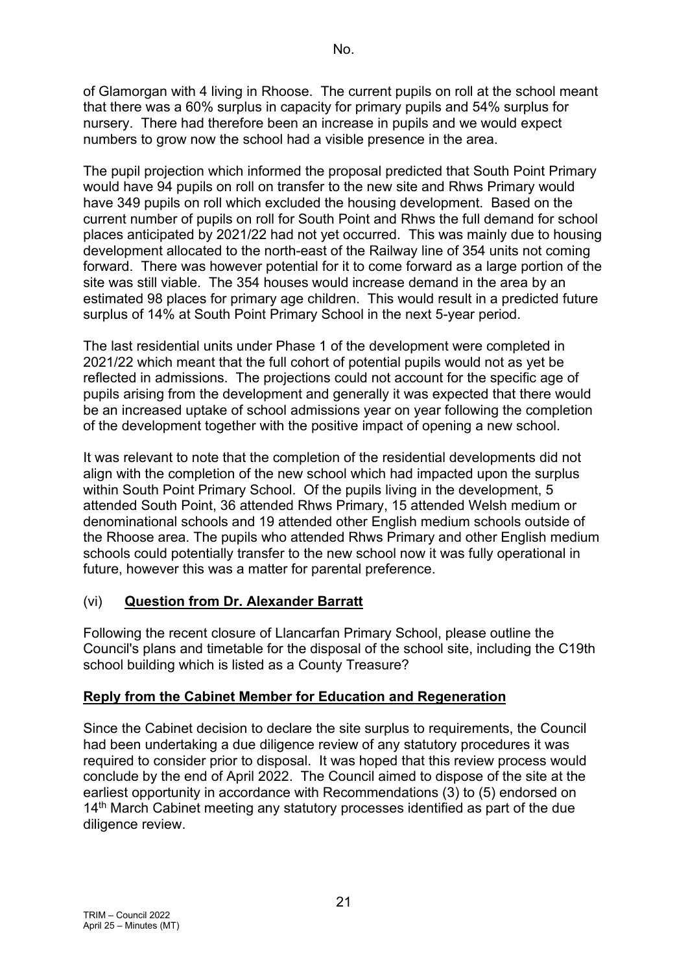of Glamorgan with 4 living in Rhoose. The current pupils on roll at the school meant that there was a 60% surplus in capacity for primary pupils and 54% surplus for nursery. There had therefore been an increase in pupils and we would expect numbers to grow now the school had a visible presence in the area.

The pupil projection which informed the proposal predicted that South Point Primary would have 94 pupils on roll on transfer to the new site and Rhws Primary would have 349 pupils on roll which excluded the housing development. Based on the current number of pupils on roll for South Point and Rhws the full demand for school places anticipated by 2021/22 had not yet occurred. This was mainly due to housing development allocated to the north-east of the Railway line of 354 units not coming forward. There was however potential for it to come forward as a large portion of the site was still viable. The 354 houses would increase demand in the area by an estimated 98 places for primary age children. This would result in a predicted future surplus of 14% at South Point Primary School in the next 5-year period.

The last residential units under Phase 1 of the development were completed in 2021/22 which meant that the full cohort of potential pupils would not as yet be reflected in admissions. The projections could not account for the specific age of pupils arising from the development and generally it was expected that there would be an increased uptake of school admissions year on year following the completion of the development together with the positive impact of opening a new school.

It was relevant to note that the completion of the residential developments did not align with the completion of the new school which had impacted upon the surplus within South Point Primary School. Of the pupils living in the development, 5 attended South Point, 36 attended Rhws Primary, 15 attended Welsh medium or denominational schools and 19 attended other English medium schools outside of the Rhoose area. The pupils who attended Rhws Primary and other English medium schools could potentially transfer to the new school now it was fully operational in future, however this was a matter for parental preference.

# (vi) **Question from Dr. Alexander Barratt**

Following the recent closure of Llancarfan Primary School, please outline the Council's plans and timetable for the disposal of the school site, including the C19th school building which is listed as a County Treasure?

## **Reply from the Cabinet Member for Education and Regeneration**

Since the Cabinet decision to declare the site surplus to requirements, the Council had been undertaking a due diligence review of any statutory procedures it was required to consider prior to disposal. It was hoped that this review process would conclude by the end of April 2022. The Council aimed to dispose of the site at the earliest opportunity in accordance with Recommendations (3) to (5) endorsed on 14<sup>th</sup> March Cabinet meeting any statutory processes identified as part of the due diligence review.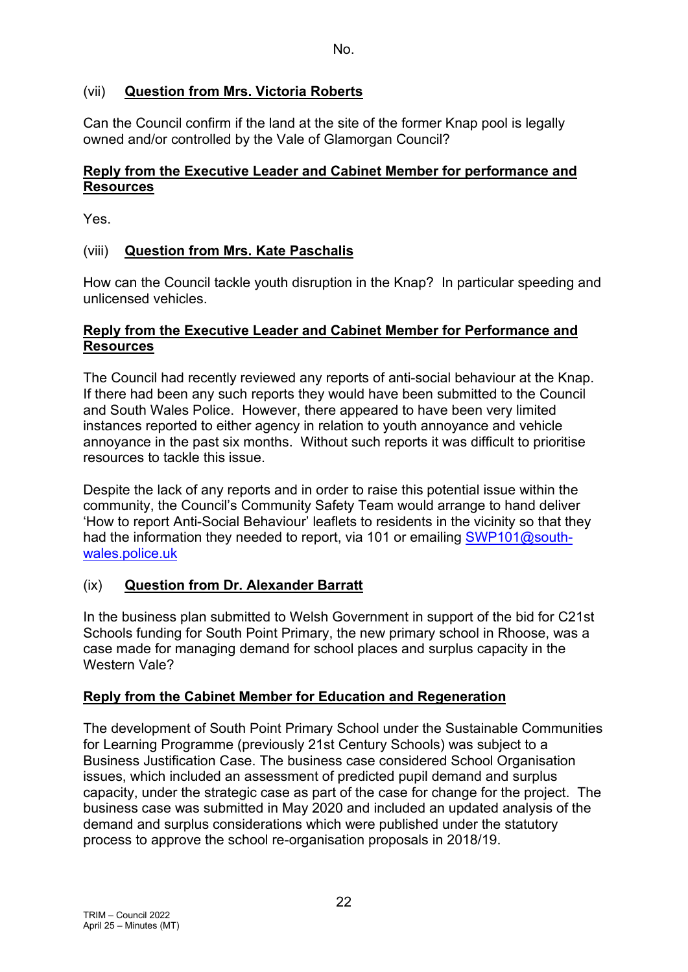# (vii) **Question from Mrs. Victoria Roberts**

Can the Council confirm if the land at the site of the former Knap pool is legally owned and/or controlled by the Vale of Glamorgan Council?

## **Reply from the Executive Leader and Cabinet Member for performance and Resources**

Yes.

## (viii) **Question from Mrs. Kate Paschalis**

How can the Council tackle youth disruption in the Knap? In particular speeding and unlicensed vehicles.

#### **Reply from the Executive Leader and Cabinet Member for Performance and Resources**

The Council had recently reviewed any reports of anti-social behaviour at the Knap. If there had been any such reports they would have been submitted to the Council and South Wales Police. However, there appeared to have been very limited instances reported to either agency in relation to youth annoyance and vehicle annoyance in the past six months. Without such reports it was difficult to prioritise resources to tackle this issue.

Despite the lack of any reports and in order to raise this potential issue within the community, the Council's Community Safety Team would arrange to hand deliver 'How to report Anti-Social Behaviour' leaflets to residents in the vicinity so that they had the information they needed to report, via 101 or emailing [SWP101@south](mailto:SWP101@south-wales.police.uk)[wales.police.uk](mailto:SWP101@south-wales.police.uk) 

## (ix) **Question from Dr. Alexander Barratt**

In the business plan submitted to Welsh Government in support of the bid for C21st Schools funding for South Point Primary, the new primary school in Rhoose, was a case made for managing demand for school places and surplus capacity in the Western Vale?

## **Reply from the Cabinet Member for Education and Regeneration**

The development of South Point Primary School under the Sustainable Communities for Learning Programme (previously 21st Century Schools) was subject to a Business Justification Case. The business case considered School Organisation issues, which included an assessment of predicted pupil demand and surplus capacity, under the strategic case as part of the case for change for the project. The business case was submitted in May 2020 and included an updated analysis of the demand and surplus considerations which were published under the statutory process to approve the school re-organisation proposals in 2018/19.